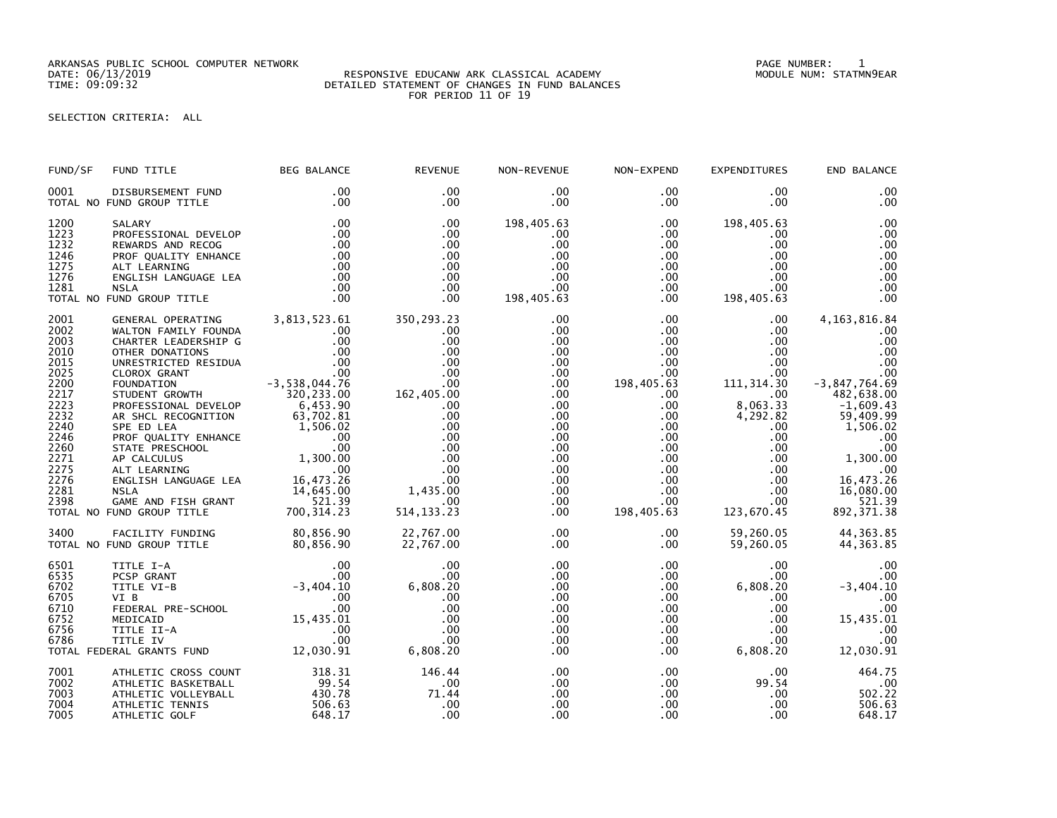ARKANSAS PUBLIC SCHOOL COMPUTER NETWORK PAGE NUMBER: 1

## DATE: 06/13/2019 RESPONSIVE EDUCANW ARK CLASSICAL ACADEMY MODULE NUM: STATMN9EAR TIME: 09:09:32 DETAILED STATEMENT OF CHANGES IN FUND BALANCES FOR PERIOD 11 OF 19

SELECTION CRITERIA: ALL

| FUND/SF                                                                                                                                      | FUND TITLE                                                                                                                                                                                                                                                                                                                                                                                                                                                          | BEG BALANCE                                                                                                                                                                        | <b>REVENUE</b>                                                                                                                                                  | NON-REVENUE                                                                                                                                                                                                            | NON-EXPEND                                                                                                                                                                                                               | <b>EXPENDITURES</b>                                                                                                                                                                                                                       | END BALANCE                                                                                                                                                                                                    |
|----------------------------------------------------------------------------------------------------------------------------------------------|---------------------------------------------------------------------------------------------------------------------------------------------------------------------------------------------------------------------------------------------------------------------------------------------------------------------------------------------------------------------------------------------------------------------------------------------------------------------|------------------------------------------------------------------------------------------------------------------------------------------------------------------------------------|-----------------------------------------------------------------------------------------------------------------------------------------------------------------|------------------------------------------------------------------------------------------------------------------------------------------------------------------------------------------------------------------------|--------------------------------------------------------------------------------------------------------------------------------------------------------------------------------------------------------------------------|-------------------------------------------------------------------------------------------------------------------------------------------------------------------------------------------------------------------------------------------|----------------------------------------------------------------------------------------------------------------------------------------------------------------------------------------------------------------|
| 0001                                                                                                                                         | DISBURSEMENT FUND<br>TOTAL NO FUND GROUP TITLE                                                                                                                                                                                                                                                                                                                                                                                                                      | .00<br>.00                                                                                                                                                                         | .00<br>$.00 \,$                                                                                                                                                 | $.00 \,$<br>.00                                                                                                                                                                                                        | $.00 \,$<br>.00                                                                                                                                                                                                          | .00<br>$.00 \,$                                                                                                                                                                                                                           | .00<br>.00                                                                                                                                                                                                     |
| 1200<br>1223<br>1232<br>1246<br>1275<br>1276<br>1281                                                                                         | SALARY<br>PROFESSIONAL DEVELOP<br>REWARDS AND RECOG<br>PROF QUALITY ENHANCE<br>ALT LEARNING<br>ENGLISH LANGUAGE LEA<br><b>NSLA</b><br>TOTAL NO FUND GROUP TITLE                                                                                                                                                                                                                                                                                                     | .00<br>.00<br>$\frac{00}{00}$<br>.00<br>.00<br>.00                                                                                                                                 | .00<br>.00<br>.00<br>.00<br>$.00 \,$<br>.00<br>$.00 \,$<br>.00                                                                                                  | 198,405.63<br>.00<br>.00<br>$.00 \,$<br>$.00 \,$<br>.00<br>.00 <sub>1</sub><br>198,405.63                                                                                                                              | $.00 \,$<br>$.00 \,$<br>$.00 \times$<br>.00<br>$.00 \cdot$<br>$.00 \,$<br>.00<br>$.00 \,$                                                                                                                                | 198,405.63<br>.00.<br>.00<br>$.00 \,$<br>.00<br>$.00 \,$<br>$.00 \,$<br>198,405.63                                                                                                                                                        | .00<br>.00<br>.00<br>.00<br>.00<br>.00<br>.00<br>.00                                                                                                                                                           |
| 2001<br>2002<br>2003<br>2010<br>2015<br>2025<br>2200<br>2217<br>2223<br>2232<br>2240<br>2246<br>2260<br>2271<br>2275<br>2276<br>2281<br>2398 | GENERAL OPERATING 3,813,523.61<br>WALTON FAMILY FOUNDA<br>CHARTER LEADERSHIP G<br>OTHER DONATIONS<br>UNRESTRICTED RESIDUA<br>CLOROX GRANT<br>FOUNDATION<br>STUDENT GROWTH<br>PROFESSIONAL DEVELOP<br>AR SHCL RECOGNITION<br>SPE ED LEA<br>PROF QUALITY ENHANCE<br>STATE PRESCHOOL<br>AP CALCULUS 1,300.00<br>ALT LEARNING 00<br>ENGLISH LANGUAGE LEA 16,473.26<br>ENGLISH LANGUAGE LEA 16.473.26<br><b>NSLA</b><br>GAME AND FISH GRANT<br>TOTAL NO FUND GROUP TITLE | .00<br>.00<br>.00<br>$\frac{0.00}{0.00}$<br>$-3,538,044.76$<br>320,233.00<br>5320,233.00<br>$6,453.90$<br>$63,702.81$<br>$1,506.02$<br>00.00<br>14,645.00<br>521.39<br>700, 314.23 | 350,293.23<br>.00<br>.00<br>.00<br>.00<br>.00<br>$162,405.00$<br>00<br>.00<br>.00<br>.00<br>.00<br>.00<br>.00<br>.00<br>.00<br>1,435.00<br>.00.<br>514, 133. 23 | $.00 \,$<br>$.00 \,$<br>$.00 \,$<br>$.00 \,$<br>$.00 \,$<br>$.00 \,$<br>$.00 \,$<br>.00<br>$.00 \,$<br>$.00 \,$<br>$.00 \,$<br>$.00 \,$<br>$.00 \,$<br>$.00 \,$<br>$.00 \,$<br>$.00 \,$<br>.00<br>$.00 \,$<br>$.00 \,$ | $.00 \,$<br>.00<br>$.00 \,$<br>$.00 \,$<br>$.00 \,$<br>.00<br>198,405.63<br>$.00 \,$<br>$.00 \,$<br>$.00 \,$<br>$.00 \,$<br>$.00\,$<br>$.00\,$<br>$.00 \,$<br>$.00 \,$<br>$.00 \,$<br>$.00 \,$<br>$.00 \,$<br>198,405.63 | $.00 \,$<br>$.00 \,$<br>$.00 \,$<br>$.00 \cdot$<br>$.00 \,$<br>.00 <sub>1</sub><br>111, 314.30<br>$.00 \cdot$<br>8,063.33<br>4,292.82<br>$.00 \,$<br>$.00 \,$<br>.00<br>$.00 \,$<br>$.00 \,$<br>$.00 \,$<br>.00<br>$.00 \,$<br>123,670.45 | 4, 163, 816.84<br>.00<br>.00<br>.00<br>.00<br>.00<br>$-3,847,764.69$<br>482,638.00<br>$-1,609.43$<br>59,409.99<br>1,506.02<br>.00<br>.00<br>1,300.00<br>.00<br>16,473.26<br>16,080.00<br>521.39<br>892, 371.38 |
| 3400                                                                                                                                         | FACILITY FUNDING<br>TOTAL NO FUND GROUP TITLE                                                                                                                                                                                                                                                                                                                                                                                                                       | 80,856.90<br>80,856.90                                                                                                                                                             | 22,767.00<br>22,767.00                                                                                                                                          | $.00 \,$<br>$.00 \,$                                                                                                                                                                                                   | $.00 \,$<br>$.00 \,$                                                                                                                                                                                                     | 59,260.05<br>59,260.05                                                                                                                                                                                                                    | 44, 363.85<br>44, 363.85                                                                                                                                                                                       |
| 6501<br>6535<br>6702<br>6705<br>6710<br>6752<br>6756<br>6786                                                                                 | TITLE I-A 00<br>PCSP GRANT 00<br>TITLE VI-B -3,404.10<br>VI B 00<br>FEDERAL PRE-SCHOOL 00<br>MEDICAID 15,435.01<br>TITLE II-A 00<br>TITLE IV 00<br>FRAL GRANTS FUND 12,030.91<br>TOTAL FEDERAL GRANTS FUND                                                                                                                                                                                                                                                          |                                                                                                                                                                                    | .00<br>.00.<br>6,808.20<br>.00<br>.00<br>.00<br>.00<br>.00<br>6,808.20                                                                                          | $.00 \,$<br>$.00 \,$<br>.00<br>.00<br>$.00 \,$<br>$.00 \,$<br>$.00 \,$<br>.00<br>.00                                                                                                                                   | $.00 \,$<br>$.00 \,$<br>$.00 \,$<br>$.00 \,$<br>$.00 \,$<br>$.00 \,$<br>$.00 \,$<br>$.00 \,$<br>.00                                                                                                                      | .00<br>$.00 \ \,$<br>6,808.20<br>$.00 \,$<br>$.00 \,$<br>.00<br>.00<br>$.00 \,$<br>6,808.20                                                                                                                                               | .00<br>.00<br>$-3,404.10$<br>.00<br>.00<br>15,435.01<br>.00<br>.00<br>12,030.91                                                                                                                                |
| 7001<br>7002<br>7003<br>7004<br>7005                                                                                                         | ATHLETIC CROSS COUNT<br>ATHLETIC BASKETBALL<br>ATHLETIC VOLLEYBALL<br>ATHLETIC TENNIS<br>ATHLETIC GOLF                                                                                                                                                                                                                                                                                                                                                              | 318.31<br>510.54<br>99.54<br>430.78<br>506.63<br>648.17                                                                                                                            | 146.44<br>.00<br>71.44<br>.00<br>.00                                                                                                                            | .00<br>$.00 \,$<br>.00<br>.00<br>.00                                                                                                                                                                                   | $.00 \,$<br>$.00\,$<br>$.00 \,$<br>.00<br>.00                                                                                                                                                                            | $.00 \,$<br>99.54<br>$.00 \,$<br>.00<br>.00                                                                                                                                                                                               | 464.75<br>.00<br>502.22<br>506.63<br>648.17                                                                                                                                                                    |